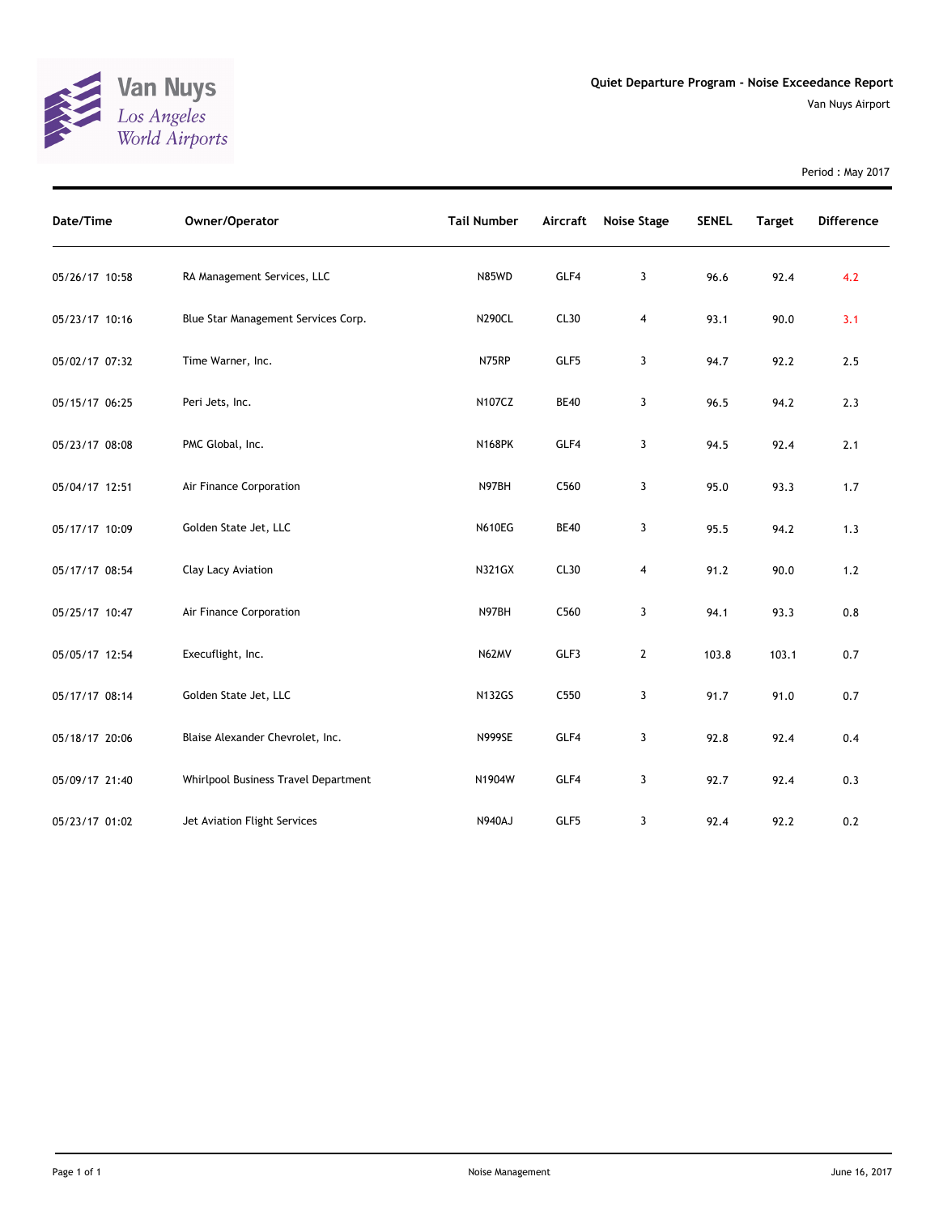

| Period: May 2017 |  |  |
|------------------|--|--|
|                  |  |  |

| Date/Time      | Owner/Operator                       | <b>Tail Number</b> | Aircraft    | Noise Stage  | <b>SENEL</b> | <b>Target</b> | <b>Difference</b> |
|----------------|--------------------------------------|--------------------|-------------|--------------|--------------|---------------|-------------------|
| 05/26/17 10:58 | RA Management Services, LLC          | N85WD              | GLF4        | 3            | 96.6         | 92.4          | 4.2               |
| 05/23/17 10:16 | Blue Star Management Services Corp.  | <b>N290CL</b>      | CL30        | 4            | 93.1         | 90.0          | 3.1               |
| 05/02/17 07:32 | Time Warner, Inc.                    | N75RP              | GLF5        | 3            | 94.7         | 92.2          | 2.5               |
| 05/15/17 06:25 | Peri Jets, Inc.                      | N107CZ             | <b>BE40</b> | 3            | 96.5         | 94.2          | 2.3               |
| 05/23/17 08:08 | PMC Global, Inc.                     | <b>N168PK</b>      | GLF4        | 3            | 94.5         | 92.4          | 2.1               |
| 05/04/17 12:51 | Air Finance Corporation              | N97BH              | C560        | 3            | 95.0         | 93.3          | 1.7               |
| 05/17/17 10:09 | Golden State Jet, LLC                | <b>N610EG</b>      | <b>BE40</b> | 3            | 95.5         | 94.2          | 1.3               |
| 05/17/17 08:54 | Clay Lacy Aviation                   | <b>N321GX</b>      | CL30        | 4            | 91.2         | 90.0          | 1.2               |
| 05/25/17 10:47 | Air Finance Corporation              | N97BH              | C560        | 3            | 94.1         | 93.3          | 0.8               |
| 05/05/17 12:54 | Execuflight, Inc.                    | N62MV              | GLF3        | $\mathbf{2}$ | 103.8        | 103.1         | 0.7               |
| 05/17/17 08:14 | Golden State Jet, LLC                | <b>N132GS</b>      | C550        | 3            | 91.7         | 91.0          | 0.7               |
| 05/18/17 20:06 | Blaise Alexander Chevrolet, Inc.     | <b>N999SE</b>      | GLF4        | 3            | 92.8         | 92.4          | 0.4               |
| 05/09/17 21:40 | Whirlpool Business Travel Department | N1904W             | GLF4        | 3            | 92.7         | 92.4          | 0.3               |
| 05/23/17 01:02 | Jet Aviation Flight Services         | <b>N940AJ</b>      | GLF5        | 3            | 92.4         | 92.2          | 0.2               |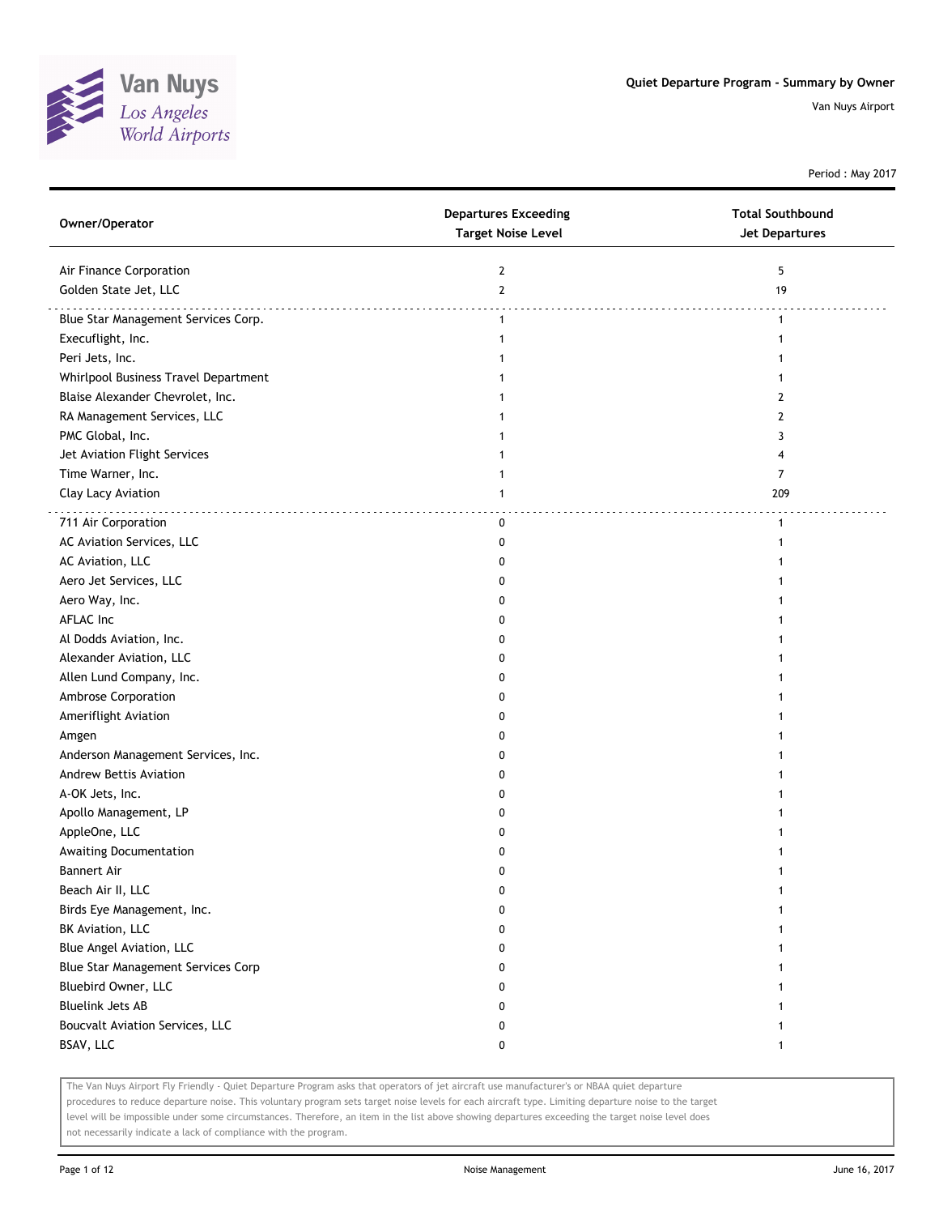

Period : May 2017

| Air Finance Corporation<br>$\overline{2}$<br>5<br>Golden State Jet, LLC<br>$\overline{2}$<br>19<br>Blue Star Management Services Corp.<br>$\mathbf{1}$<br>1<br>Execuflight, Inc.<br>Peri Jets, Inc.<br>Whirlpool Business Travel Department<br>Blaise Alexander Chevrolet, Inc.<br>2<br>RA Management Services, LLC<br>2<br>PMC Global, Inc.<br>3<br>Jet Aviation Flight Services<br>4<br>Time Warner, Inc.<br>7<br>Clay Lacy Aviation<br>209<br>1<br>711 Air Corporation<br>0<br>$\mathbf{1}$<br>AC Aviation Services, LLC<br>0<br>AC Aviation, LLC<br>0<br>Aero Jet Services, LLC<br>0<br>Aero Way, Inc.<br>0<br>AFLAC Inc<br>0<br>Al Dodds Aviation, Inc.<br>0<br>Alexander Aviation, LLC<br>0<br>Allen Lund Company, Inc.<br>0<br>Ambrose Corporation<br>0<br>Ameriflight Aviation<br>0<br>Amgen<br>0<br>Anderson Management Services, Inc.<br>0<br>Andrew Bettis Aviation<br>0<br>A-OK Jets, Inc.<br>0<br>Apollo Management, LP<br>0<br>AppleOne, LLC<br>0<br>Awaiting Documentation<br>0<br><b>Bannert Air</b><br>0<br>Beach Air II, LLC<br>0<br>Birds Eye Management, Inc.<br>0<br>BK Aviation, LLC<br>0<br>Blue Angel Aviation, LLC<br>0<br>Blue Star Management Services Corp<br>0<br>Bluebird Owner, LLC<br>0<br><b>Bluelink Jets AB</b><br>0<br>Boucvalt Aviation Services, LLC<br>0<br>BSAV, LLC<br>0<br>1 | Owner/Operator | <b>Departures Exceeding</b><br><b>Target Noise Level</b> | <b>Total Southbound</b><br><b>Jet Departures</b> |
|------------------------------------------------------------------------------------------------------------------------------------------------------------------------------------------------------------------------------------------------------------------------------------------------------------------------------------------------------------------------------------------------------------------------------------------------------------------------------------------------------------------------------------------------------------------------------------------------------------------------------------------------------------------------------------------------------------------------------------------------------------------------------------------------------------------------------------------------------------------------------------------------------------------------------------------------------------------------------------------------------------------------------------------------------------------------------------------------------------------------------------------------------------------------------------------------------------------------------------------------------------------------------------------------------------------------|----------------|----------------------------------------------------------|--------------------------------------------------|
|                                                                                                                                                                                                                                                                                                                                                                                                                                                                                                                                                                                                                                                                                                                                                                                                                                                                                                                                                                                                                                                                                                                                                                                                                                                                                                                        |                |                                                          |                                                  |
|                                                                                                                                                                                                                                                                                                                                                                                                                                                                                                                                                                                                                                                                                                                                                                                                                                                                                                                                                                                                                                                                                                                                                                                                                                                                                                                        |                |                                                          |                                                  |
|                                                                                                                                                                                                                                                                                                                                                                                                                                                                                                                                                                                                                                                                                                                                                                                                                                                                                                                                                                                                                                                                                                                                                                                                                                                                                                                        |                |                                                          |                                                  |
|                                                                                                                                                                                                                                                                                                                                                                                                                                                                                                                                                                                                                                                                                                                                                                                                                                                                                                                                                                                                                                                                                                                                                                                                                                                                                                                        |                |                                                          |                                                  |
|                                                                                                                                                                                                                                                                                                                                                                                                                                                                                                                                                                                                                                                                                                                                                                                                                                                                                                                                                                                                                                                                                                                                                                                                                                                                                                                        |                |                                                          |                                                  |
|                                                                                                                                                                                                                                                                                                                                                                                                                                                                                                                                                                                                                                                                                                                                                                                                                                                                                                                                                                                                                                                                                                                                                                                                                                                                                                                        |                |                                                          |                                                  |
|                                                                                                                                                                                                                                                                                                                                                                                                                                                                                                                                                                                                                                                                                                                                                                                                                                                                                                                                                                                                                                                                                                                                                                                                                                                                                                                        |                |                                                          |                                                  |
|                                                                                                                                                                                                                                                                                                                                                                                                                                                                                                                                                                                                                                                                                                                                                                                                                                                                                                                                                                                                                                                                                                                                                                                                                                                                                                                        |                |                                                          |                                                  |
|                                                                                                                                                                                                                                                                                                                                                                                                                                                                                                                                                                                                                                                                                                                                                                                                                                                                                                                                                                                                                                                                                                                                                                                                                                                                                                                        |                |                                                          |                                                  |
|                                                                                                                                                                                                                                                                                                                                                                                                                                                                                                                                                                                                                                                                                                                                                                                                                                                                                                                                                                                                                                                                                                                                                                                                                                                                                                                        |                |                                                          |                                                  |
|                                                                                                                                                                                                                                                                                                                                                                                                                                                                                                                                                                                                                                                                                                                                                                                                                                                                                                                                                                                                                                                                                                                                                                                                                                                                                                                        |                |                                                          |                                                  |
|                                                                                                                                                                                                                                                                                                                                                                                                                                                                                                                                                                                                                                                                                                                                                                                                                                                                                                                                                                                                                                                                                                                                                                                                                                                                                                                        |                |                                                          |                                                  |
|                                                                                                                                                                                                                                                                                                                                                                                                                                                                                                                                                                                                                                                                                                                                                                                                                                                                                                                                                                                                                                                                                                                                                                                                                                                                                                                        |                |                                                          |                                                  |
|                                                                                                                                                                                                                                                                                                                                                                                                                                                                                                                                                                                                                                                                                                                                                                                                                                                                                                                                                                                                                                                                                                                                                                                                                                                                                                                        |                |                                                          |                                                  |
|                                                                                                                                                                                                                                                                                                                                                                                                                                                                                                                                                                                                                                                                                                                                                                                                                                                                                                                                                                                                                                                                                                                                                                                                                                                                                                                        |                |                                                          |                                                  |
|                                                                                                                                                                                                                                                                                                                                                                                                                                                                                                                                                                                                                                                                                                                                                                                                                                                                                                                                                                                                                                                                                                                                                                                                                                                                                                                        |                |                                                          |                                                  |
|                                                                                                                                                                                                                                                                                                                                                                                                                                                                                                                                                                                                                                                                                                                                                                                                                                                                                                                                                                                                                                                                                                                                                                                                                                                                                                                        |                |                                                          |                                                  |
|                                                                                                                                                                                                                                                                                                                                                                                                                                                                                                                                                                                                                                                                                                                                                                                                                                                                                                                                                                                                                                                                                                                                                                                                                                                                                                                        |                |                                                          |                                                  |
|                                                                                                                                                                                                                                                                                                                                                                                                                                                                                                                                                                                                                                                                                                                                                                                                                                                                                                                                                                                                                                                                                                                                                                                                                                                                                                                        |                |                                                          |                                                  |
|                                                                                                                                                                                                                                                                                                                                                                                                                                                                                                                                                                                                                                                                                                                                                                                                                                                                                                                                                                                                                                                                                                                                                                                                                                                                                                                        |                |                                                          |                                                  |
|                                                                                                                                                                                                                                                                                                                                                                                                                                                                                                                                                                                                                                                                                                                                                                                                                                                                                                                                                                                                                                                                                                                                                                                                                                                                                                                        |                |                                                          |                                                  |
|                                                                                                                                                                                                                                                                                                                                                                                                                                                                                                                                                                                                                                                                                                                                                                                                                                                                                                                                                                                                                                                                                                                                                                                                                                                                                                                        |                |                                                          |                                                  |
|                                                                                                                                                                                                                                                                                                                                                                                                                                                                                                                                                                                                                                                                                                                                                                                                                                                                                                                                                                                                                                                                                                                                                                                                                                                                                                                        |                |                                                          |                                                  |
|                                                                                                                                                                                                                                                                                                                                                                                                                                                                                                                                                                                                                                                                                                                                                                                                                                                                                                                                                                                                                                                                                                                                                                                                                                                                                                                        |                |                                                          |                                                  |
|                                                                                                                                                                                                                                                                                                                                                                                                                                                                                                                                                                                                                                                                                                                                                                                                                                                                                                                                                                                                                                                                                                                                                                                                                                                                                                                        |                |                                                          |                                                  |
|                                                                                                                                                                                                                                                                                                                                                                                                                                                                                                                                                                                                                                                                                                                                                                                                                                                                                                                                                                                                                                                                                                                                                                                                                                                                                                                        |                |                                                          |                                                  |
|                                                                                                                                                                                                                                                                                                                                                                                                                                                                                                                                                                                                                                                                                                                                                                                                                                                                                                                                                                                                                                                                                                                                                                                                                                                                                                                        |                |                                                          |                                                  |
|                                                                                                                                                                                                                                                                                                                                                                                                                                                                                                                                                                                                                                                                                                                                                                                                                                                                                                                                                                                                                                                                                                                                                                                                                                                                                                                        |                |                                                          |                                                  |
|                                                                                                                                                                                                                                                                                                                                                                                                                                                                                                                                                                                                                                                                                                                                                                                                                                                                                                                                                                                                                                                                                                                                                                                                                                                                                                                        |                |                                                          |                                                  |
|                                                                                                                                                                                                                                                                                                                                                                                                                                                                                                                                                                                                                                                                                                                                                                                                                                                                                                                                                                                                                                                                                                                                                                                                                                                                                                                        |                |                                                          |                                                  |
|                                                                                                                                                                                                                                                                                                                                                                                                                                                                                                                                                                                                                                                                                                                                                                                                                                                                                                                                                                                                                                                                                                                                                                                                                                                                                                                        |                |                                                          |                                                  |
|                                                                                                                                                                                                                                                                                                                                                                                                                                                                                                                                                                                                                                                                                                                                                                                                                                                                                                                                                                                                                                                                                                                                                                                                                                                                                                                        |                |                                                          |                                                  |
|                                                                                                                                                                                                                                                                                                                                                                                                                                                                                                                                                                                                                                                                                                                                                                                                                                                                                                                                                                                                                                                                                                                                                                                                                                                                                                                        |                |                                                          |                                                  |
|                                                                                                                                                                                                                                                                                                                                                                                                                                                                                                                                                                                                                                                                                                                                                                                                                                                                                                                                                                                                                                                                                                                                                                                                                                                                                                                        |                |                                                          |                                                  |
|                                                                                                                                                                                                                                                                                                                                                                                                                                                                                                                                                                                                                                                                                                                                                                                                                                                                                                                                                                                                                                                                                                                                                                                                                                                                                                                        |                |                                                          |                                                  |
|                                                                                                                                                                                                                                                                                                                                                                                                                                                                                                                                                                                                                                                                                                                                                                                                                                                                                                                                                                                                                                                                                                                                                                                                                                                                                                                        |                |                                                          |                                                  |
|                                                                                                                                                                                                                                                                                                                                                                                                                                                                                                                                                                                                                                                                                                                                                                                                                                                                                                                                                                                                                                                                                                                                                                                                                                                                                                                        |                |                                                          |                                                  |
|                                                                                                                                                                                                                                                                                                                                                                                                                                                                                                                                                                                                                                                                                                                                                                                                                                                                                                                                                                                                                                                                                                                                                                                                                                                                                                                        |                |                                                          |                                                  |
|                                                                                                                                                                                                                                                                                                                                                                                                                                                                                                                                                                                                                                                                                                                                                                                                                                                                                                                                                                                                                                                                                                                                                                                                                                                                                                                        |                |                                                          |                                                  |
|                                                                                                                                                                                                                                                                                                                                                                                                                                                                                                                                                                                                                                                                                                                                                                                                                                                                                                                                                                                                                                                                                                                                                                                                                                                                                                                        |                |                                                          |                                                  |

The Van Nuys Airport Fly Friendly - Quiet Departure Program asks that operators of jet aircraft use manufacturer's or NBAA quiet departure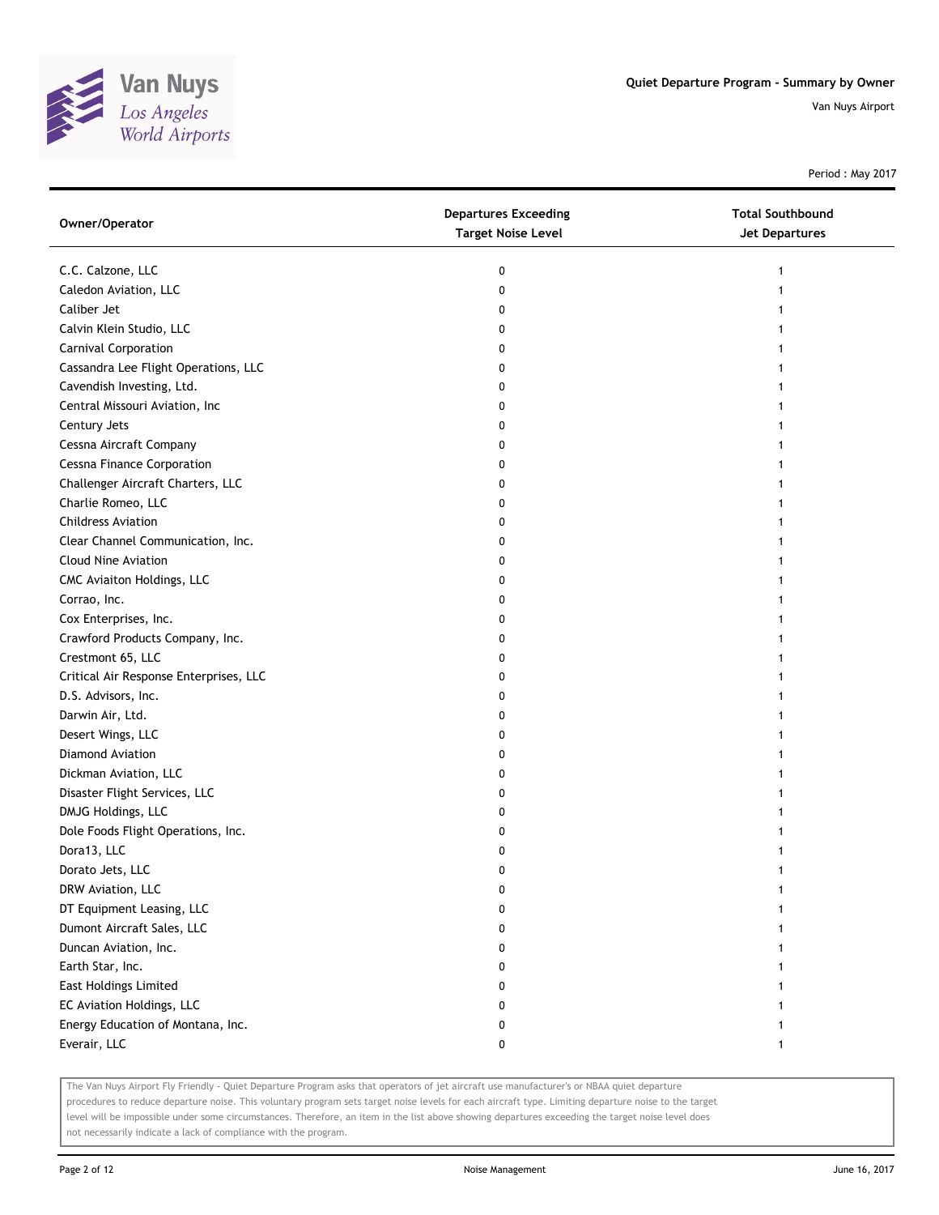

Period : May 2017

| Owner/Operator                         | <b>Departures Exceeding</b><br><b>Target Noise Level</b> | <b>Total Southbound</b><br>Jet Departures |
|----------------------------------------|----------------------------------------------------------|-------------------------------------------|
| C.C. Calzone, LLC                      | 0                                                        | 1                                         |
| Caledon Aviation, LLC                  | 0                                                        |                                           |
| Caliber Jet                            | 0                                                        |                                           |
| Calvin Klein Studio, LLC               | 0                                                        |                                           |
| Carnival Corporation                   | 0                                                        |                                           |
| Cassandra Lee Flight Operations, LLC   | 0                                                        | 1                                         |
| Cavendish Investing, Ltd.              | 0                                                        |                                           |
| Central Missouri Aviation, Inc         | 0                                                        |                                           |
| Century Jets                           | 0                                                        |                                           |
| Cessna Aircraft Company                | 0                                                        |                                           |
| <b>Cessna Finance Corporation</b>      | 0                                                        |                                           |
| Challenger Aircraft Charters, LLC      | 0                                                        |                                           |
| Charlie Romeo, LLC                     | 0                                                        |                                           |
| <b>Childress Aviation</b>              | 0                                                        |                                           |
| Clear Channel Communication, Inc.      | 0                                                        |                                           |
| <b>Cloud Nine Aviation</b>             | 0                                                        |                                           |
| CMC Aviaiton Holdings, LLC             | 0                                                        |                                           |
| Corrao, Inc.                           | 0                                                        |                                           |
| Cox Enterprises, Inc.                  | 0                                                        |                                           |
| Crawford Products Company, Inc.        | 0                                                        |                                           |
| Crestmont 65, LLC                      | 0                                                        |                                           |
| Critical Air Response Enterprises, LLC | 0                                                        |                                           |
| D.S. Advisors, Inc.                    | 0                                                        |                                           |
| Darwin Air, Ltd.                       | 0                                                        |                                           |
| Desert Wings, LLC                      | 0                                                        | 1                                         |
| Diamond Aviation                       | 0                                                        | 1                                         |
| Dickman Aviation, LLC                  | 0                                                        |                                           |
| Disaster Flight Services, LLC          | 0                                                        |                                           |
| DMJG Holdings, LLC                     | 0                                                        |                                           |
| Dole Foods Flight Operations, Inc.     | 0                                                        |                                           |
| Dora13, LLC                            | 0                                                        |                                           |
| Dorato Jets, LLC                       | 0                                                        |                                           |
| DRW Aviation, LLC                      | 0                                                        |                                           |
| DT Equipment Leasing, LLC              | 0                                                        |                                           |
| Dumont Aircraft Sales, LLC             | 0                                                        |                                           |
| Duncan Aviation, Inc.                  | 0                                                        |                                           |
| Earth Star, Inc.                       | 0                                                        |                                           |
| <b>East Holdings Limited</b>           | 0                                                        |                                           |
| EC Aviation Holdings, LLC              | 0                                                        |                                           |
| Energy Education of Montana, Inc.      | 0                                                        |                                           |
| Everair, LLC                           | 0                                                        | 1                                         |

The Van Nuys Airport Fly Friendly - Quiet Departure Program asks that operators of jet aircraft use manufacturer's or NBAA quiet departure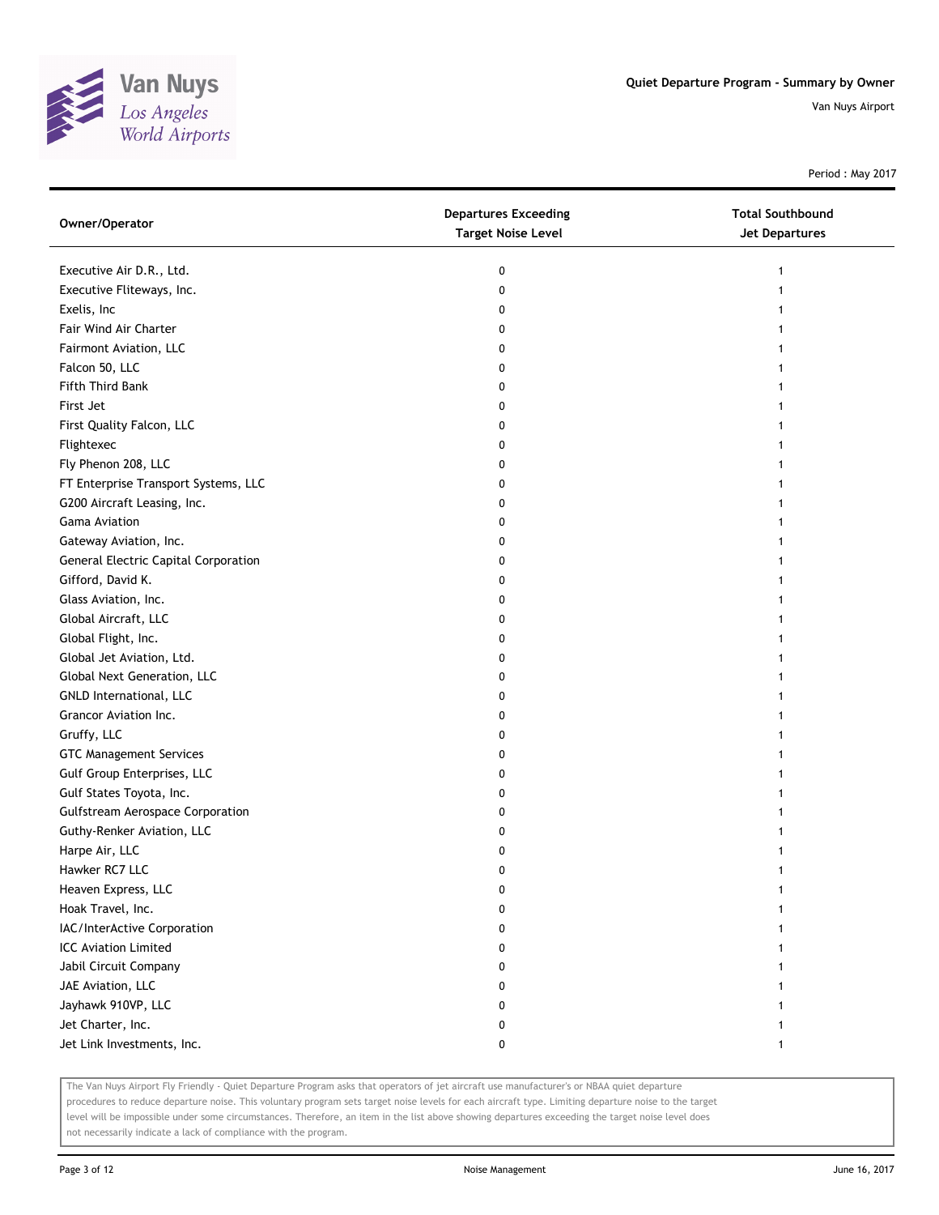

Period : May 2017

| Owner/Operator                          | <b>Departures Exceeding</b><br><b>Target Noise Level</b> | <b>Total Southbound</b><br><b>Jet Departures</b> |
|-----------------------------------------|----------------------------------------------------------|--------------------------------------------------|
| Executive Air D.R., Ltd.                | 0                                                        | 1                                                |
| Executive Fliteways, Inc.               | 0                                                        | 1                                                |
| Exelis, Inc                             | 0                                                        |                                                  |
| Fair Wind Air Charter                   | 0                                                        |                                                  |
| Fairmont Aviation, LLC                  | 0                                                        |                                                  |
| Falcon 50, LLC                          | 0                                                        |                                                  |
| Fifth Third Bank                        | 0                                                        | 1                                                |
| First Jet                               | 0                                                        | 1                                                |
| First Quality Falcon, LLC               | 0                                                        | 1                                                |
| Flightexec                              | 0                                                        |                                                  |
| Fly Phenon 208, LLC                     | 0                                                        |                                                  |
| FT Enterprise Transport Systems, LLC    | 0                                                        |                                                  |
| G200 Aircraft Leasing, Inc.             | 0                                                        |                                                  |
| Gama Aviation                           | 0                                                        |                                                  |
| Gateway Aviation, Inc.                  | 0                                                        |                                                  |
| General Electric Capital Corporation    | 0                                                        |                                                  |
| Gifford, David K.                       | 0                                                        | 1                                                |
| Glass Aviation, Inc.                    | 0                                                        | 1                                                |
| Global Aircraft, LLC                    | 0                                                        | 1                                                |
| Global Flight, Inc.                     | 0                                                        |                                                  |
| Global Jet Aviation, Ltd.               | 0                                                        |                                                  |
| Global Next Generation, LLC             | 0                                                        |                                                  |
| GNLD International, LLC                 | 0                                                        |                                                  |
| Grancor Aviation Inc.                   | 0                                                        |                                                  |
| Gruffy, LLC                             | 0                                                        |                                                  |
| <b>GTC Management Services</b>          | 0                                                        |                                                  |
| Gulf Group Enterprises, LLC             | 0                                                        |                                                  |
| Gulf States Toyota, Inc.                | 0                                                        | 1                                                |
| <b>Gulfstream Aerospace Corporation</b> | 0                                                        |                                                  |
| Guthy-Renker Aviation, LLC              | 0                                                        |                                                  |
| Harpe Air, LLC                          | 0                                                        |                                                  |
| Hawker RC7 LLC                          | 0                                                        |                                                  |
| Heaven Express, LLC                     | U                                                        |                                                  |
| Hoak Travel, Inc.                       | 0                                                        |                                                  |
| IAC/InterActive Corporation             | 0                                                        |                                                  |
| <b>ICC Aviation Limited</b>             | 0                                                        |                                                  |
| Jabil Circuit Company                   | 0                                                        |                                                  |
| JAE Aviation, LLC                       | 0                                                        |                                                  |
| Jayhawk 910VP, LLC                      | 0                                                        |                                                  |
| Jet Charter, Inc.                       | 0                                                        |                                                  |
| Jet Link Investments, Inc.              | 0                                                        | 1                                                |

The Van Nuys Airport Fly Friendly - Quiet Departure Program asks that operators of jet aircraft use manufacturer's or NBAA quiet departure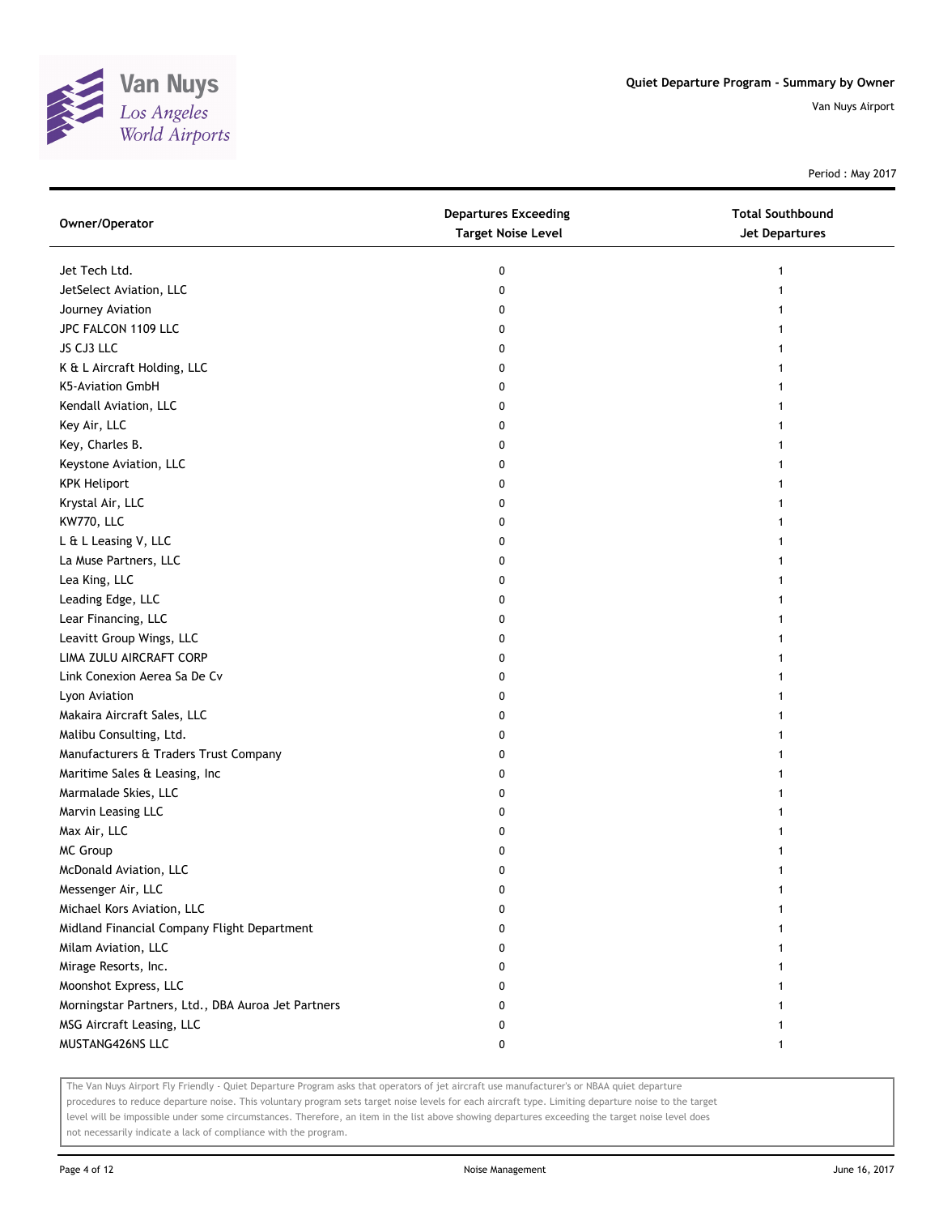

Period : May 2017

| Owner/Operator                                     | <b>Departures Exceeding</b><br><b>Target Noise Level</b> | <b>Total Southbound</b><br><b>Jet Departures</b> |
|----------------------------------------------------|----------------------------------------------------------|--------------------------------------------------|
| Jet Tech Ltd.                                      | 0                                                        | 1                                                |
| JetSelect Aviation, LLC                            | 0                                                        | 1                                                |
| Journey Aviation                                   | 0                                                        |                                                  |
| JPC FALCON 1109 LLC                                | 0                                                        |                                                  |
| JS CJ3 LLC                                         | 0                                                        |                                                  |
| K & L Aircraft Holding, LLC                        | 0                                                        | 1                                                |
| K5-Aviation GmbH                                   | 0                                                        | 1                                                |
| Kendall Aviation, LLC                              | 0                                                        | 1                                                |
| Key Air, LLC                                       | 0                                                        |                                                  |
| Key, Charles B.                                    | 0                                                        |                                                  |
| Keystone Aviation, LLC                             | 0                                                        |                                                  |
| <b>KPK Heliport</b>                                | 0                                                        |                                                  |
| Krystal Air, LLC                                   | 0                                                        |                                                  |
| KW770, LLC                                         | 0                                                        |                                                  |
| L & L Leasing V, LLC                               | 0                                                        |                                                  |
| La Muse Partners, LLC                              | 0                                                        | 1                                                |
| Lea King, LLC                                      | 0                                                        | 1                                                |
| Leading Edge, LLC                                  | 0                                                        | 1                                                |
| Lear Financing, LLC                                | 0                                                        |                                                  |
| Leavitt Group Wings, LLC                           | 0                                                        |                                                  |
| LIMA ZULU AIRCRAFT CORP                            | 0                                                        |                                                  |
| Link Conexion Aerea Sa De Cv                       | 0                                                        |                                                  |
| Lyon Aviation                                      | 0                                                        |                                                  |
| Makaira Aircraft Sales, LLC                        | 0                                                        |                                                  |
| Malibu Consulting, Ltd.                            | 0                                                        |                                                  |
| Manufacturers & Traders Trust Company              | 0                                                        |                                                  |
| Maritime Sales & Leasing, Inc                      | 0                                                        |                                                  |
| Marmalade Skies, LLC                               | 0                                                        |                                                  |
| Marvin Leasing LLC                                 | 0                                                        |                                                  |
| Max Air, LLC                                       | 0                                                        |                                                  |
| <b>MC Group</b>                                    | 0                                                        |                                                  |
| McDonald Aviation, LLC                             | 0                                                        |                                                  |
| Messenger Air, LLC                                 | 0                                                        |                                                  |
| Michael Kors Aviation, LLC                         | 0                                                        |                                                  |
| Midland Financial Company Flight Department        | 0                                                        |                                                  |
| Milam Aviation, LLC                                | 0                                                        |                                                  |
| Mirage Resorts, Inc.                               | 0                                                        |                                                  |
| Moonshot Express, LLC                              | 0                                                        |                                                  |
| Morningstar Partners, Ltd., DBA Auroa Jet Partners | 0                                                        |                                                  |
| MSG Aircraft Leasing, LLC                          | 0                                                        |                                                  |
| MUSTANG426NS LLC                                   | 0                                                        | $\mathbf{1}$                                     |

The Van Nuys Airport Fly Friendly - Quiet Departure Program asks that operators of jet aircraft use manufacturer's or NBAA quiet departure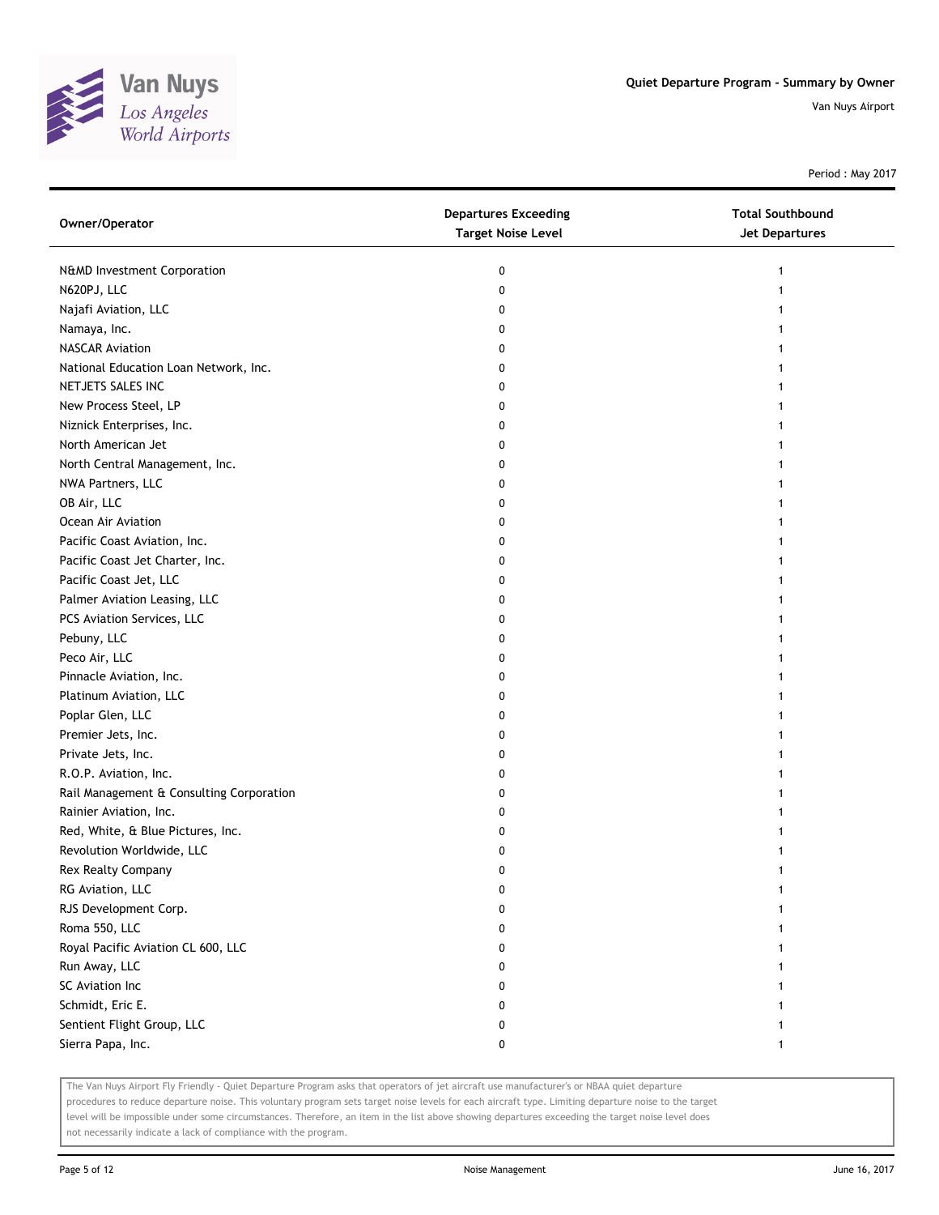

Period : May 2017

| Owner/Operator                           | <b>Departures Exceeding</b><br><b>Target Noise Level</b> | <b>Total Southbound</b><br>Jet Departures |
|------------------------------------------|----------------------------------------------------------|-------------------------------------------|
| N&MD Investment Corporation              | 0                                                        | 1                                         |
| N620PJ, LLC                              | 0                                                        |                                           |
| Najafi Aviation, LLC                     | 0                                                        |                                           |
| Namaya, Inc.                             | 0                                                        |                                           |
| <b>NASCAR Aviation</b>                   | 0                                                        |                                           |
| National Education Loan Network, Inc.    | 0                                                        |                                           |
| NETJETS SALES INC                        | 0                                                        |                                           |
| New Process Steel, LP                    | 0                                                        |                                           |
| Niznick Enterprises, Inc.                | 0                                                        |                                           |
| North American Jet                       | 0                                                        |                                           |
| North Central Management, Inc.           | 0                                                        |                                           |
| NWA Partners, LLC                        | 0                                                        |                                           |
| OB Air, LLC                              | 0                                                        |                                           |
| Ocean Air Aviation                       | 0                                                        |                                           |
| Pacific Coast Aviation, Inc.             | 0                                                        |                                           |
| Pacific Coast Jet Charter, Inc.          | 0                                                        |                                           |
| Pacific Coast Jet, LLC                   | 0                                                        |                                           |
| Palmer Aviation Leasing, LLC             | 0                                                        |                                           |
| PCS Aviation Services, LLC               | 0                                                        |                                           |
| Pebuny, LLC                              | 0                                                        |                                           |
| Peco Air, LLC                            | 0                                                        |                                           |
| Pinnacle Aviation, Inc.                  | 0                                                        |                                           |
| Platinum Aviation, LLC                   | 0                                                        |                                           |
| Poplar Glen, LLC                         | 0                                                        |                                           |
| Premier Jets, Inc.                       | 0                                                        |                                           |
| Private Jets, Inc.                       | 0                                                        |                                           |
| R.O.P. Aviation, Inc.                    | 0                                                        |                                           |
| Rail Management & Consulting Corporation | 0                                                        |                                           |
| Rainier Aviation, Inc.                   | 0                                                        |                                           |
| Red, White, & Blue Pictures, Inc.        | 0                                                        |                                           |
| Revolution Worldwide, LLC                | 0                                                        |                                           |
| Rex Realty Company                       | 0                                                        |                                           |
| RG Aviation, LLC                         | 0                                                        |                                           |
| RJS Development Corp.                    | 0                                                        |                                           |
| Roma 550, LLC                            | 0                                                        |                                           |
| Royal Pacific Aviation CL 600, LLC       | 0                                                        |                                           |
| Run Away, LLC                            | 0                                                        |                                           |
| SC Aviation Inc                          | 0                                                        |                                           |
| Schmidt, Eric E.                         | 0                                                        | 1                                         |
| Sentient Flight Group, LLC               | 0                                                        | 1                                         |
| Sierra Papa, Inc.                        | 0                                                        | 1                                         |

The Van Nuys Airport Fly Friendly - Quiet Departure Program asks that operators of jet aircraft use manufacturer's or NBAA quiet departure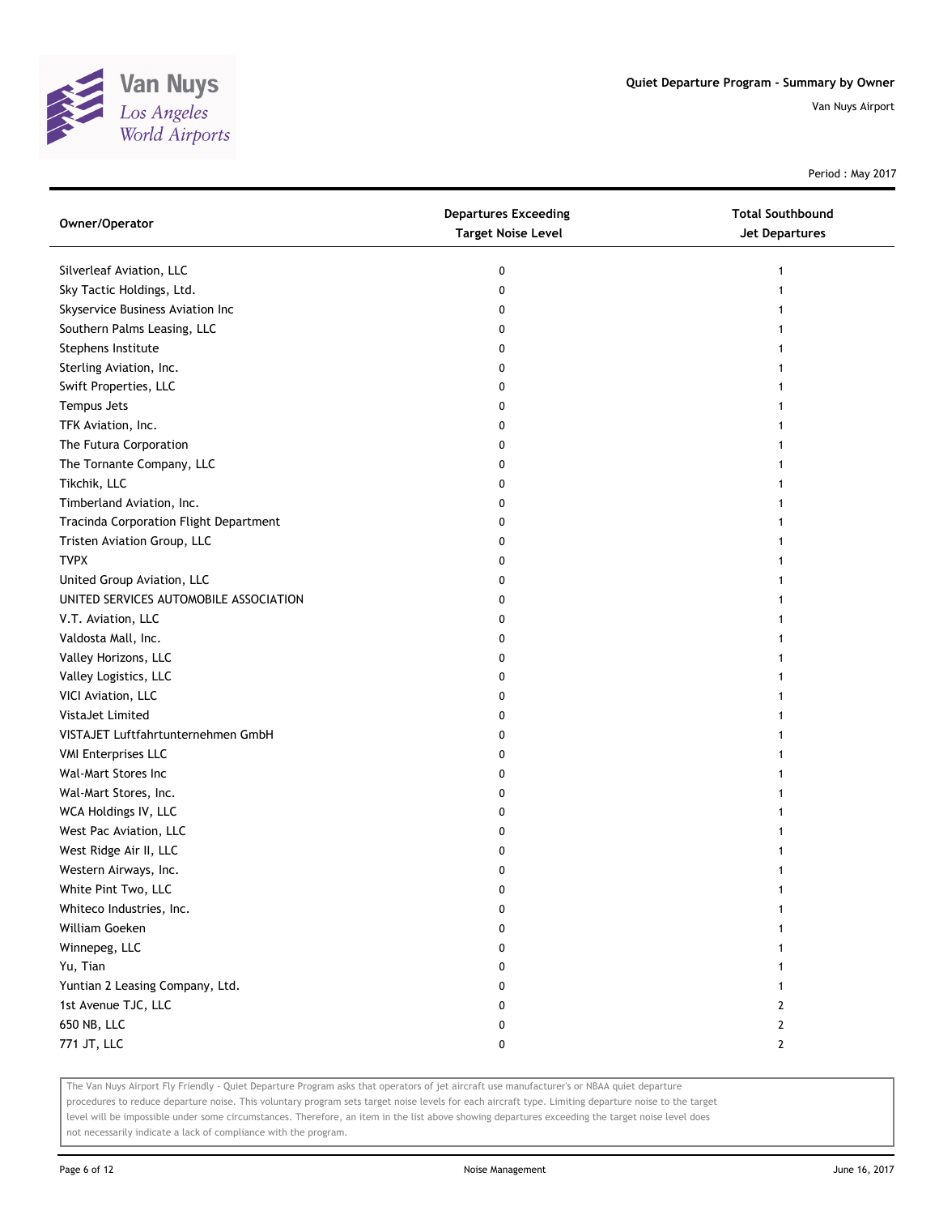

Period : May 2017

| Owner/Operator                         | <b>Departures Exceeding</b><br><b>Target Noise Level</b> | <b>Total Southbound</b><br>Jet Departures |
|----------------------------------------|----------------------------------------------------------|-------------------------------------------|
| Silverleaf Aviation, LLC               | 0                                                        |                                           |
| Sky Tactic Holdings, Ltd.              | 0                                                        |                                           |
| Skyservice Business Aviation Inc       | 0                                                        |                                           |
| Southern Palms Leasing, LLC            | 0                                                        |                                           |
| Stephens Institute                     | 0                                                        |                                           |
| Sterling Aviation, Inc.                | 0                                                        |                                           |
| Swift Properties, LLC                  | 0                                                        |                                           |
| Tempus Jets                            | 0                                                        |                                           |
| TFK Aviation, Inc.                     | 0                                                        |                                           |
| The Futura Corporation                 | 0                                                        |                                           |
| The Tornante Company, LLC              | 0                                                        |                                           |
| Tikchik, LLC                           | 0                                                        |                                           |
| Timberland Aviation, Inc.              | 0                                                        |                                           |
| Tracinda Corporation Flight Department | 0                                                        |                                           |
| Tristen Aviation Group, LLC            | 0                                                        |                                           |
| <b>TVPX</b>                            | 0                                                        |                                           |
| United Group Aviation, LLC             | 0                                                        |                                           |
| UNITED SERVICES AUTOMOBILE ASSOCIATION | 0                                                        |                                           |
| V.T. Aviation, LLC                     | 0                                                        |                                           |
| Valdosta Mall, Inc.                    | 0                                                        |                                           |
| Valley Horizons, LLC                   | 0                                                        |                                           |
| Valley Logistics, LLC                  | 0                                                        |                                           |
| VICI Aviation, LLC                     | 0                                                        |                                           |
| VistaJet Limited                       | 0                                                        |                                           |
| VISTAJET Luftfahrtunternehmen GmbH     | 0                                                        |                                           |
| <b>VMI Enterprises LLC</b>             | 0                                                        |                                           |
| Wal-Mart Stores Inc                    | 0                                                        |                                           |
| Wal-Mart Stores, Inc.                  | 0                                                        |                                           |
| WCA Holdings IV, LLC                   | 0                                                        |                                           |
| West Pac Aviation, LLC                 | 0                                                        |                                           |
| West Ridge Air II, LLC                 | 0                                                        |                                           |
| Western Airways, Inc.                  | 0                                                        |                                           |
| White Pint Two, LLC                    | 0                                                        |                                           |
| Whiteco Industries, Inc.               | 0                                                        |                                           |
| William Goeken                         | 0                                                        |                                           |
| Winnepeg, LLC                          | 0                                                        |                                           |
| Yu, Tian                               | 0                                                        |                                           |
| Yuntian 2 Leasing Company, Ltd.        | 0                                                        |                                           |
| 1st Avenue TJC, LLC                    | 0                                                        | 2                                         |
| 650 NB, LLC                            | 0                                                        | $\mathbf{2}$                              |
| 771 JT, LLC                            | 0                                                        | $\mathbf{2}$                              |

The Van Nuys Airport Fly Friendly - Quiet Departure Program asks that operators of jet aircraft use manufacturer's or NBAA quiet departure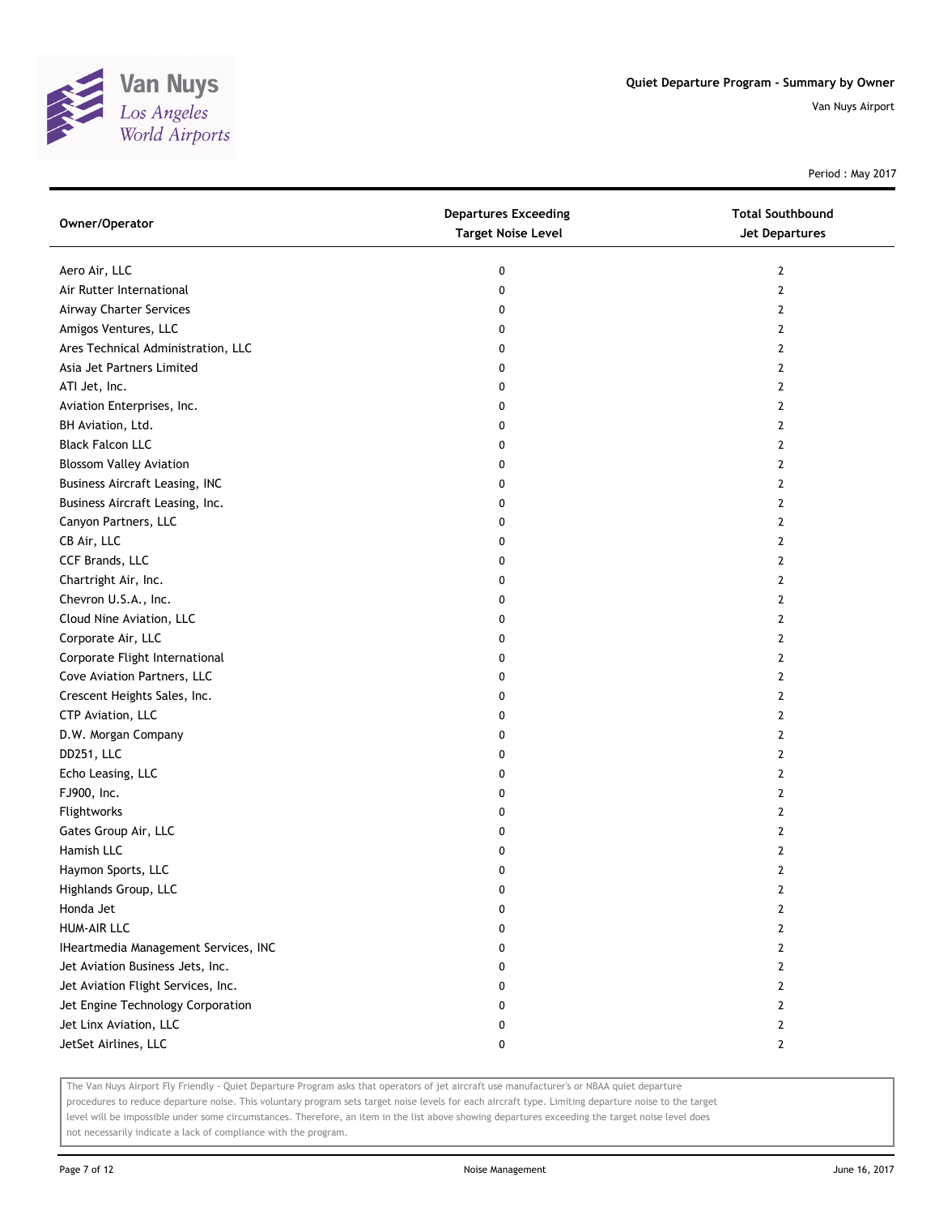

Period : May 2017

| Owner/Operator                        | <b>Departures Exceeding</b><br><b>Target Noise Level</b> | <b>Total Southbound</b><br><b>Jet Departures</b> |
|---------------------------------------|----------------------------------------------------------|--------------------------------------------------|
|                                       |                                                          |                                                  |
| Aero Air, LLC                         | 0                                                        | 2                                                |
| Air Rutter International              | 0                                                        | $\mathbf{2}$                                     |
| Airway Charter Services               | 0                                                        | 2                                                |
| Amigos Ventures, LLC                  | 0                                                        | 2                                                |
| Ares Technical Administration, LLC    | 0                                                        | 2                                                |
| Asia Jet Partners Limited             | 0                                                        | 2                                                |
| ATI Jet, Inc.                         | 0                                                        | 2                                                |
| Aviation Enterprises, Inc.            | 0                                                        | 2                                                |
| BH Aviation, Ltd.                     | 0                                                        | 2                                                |
| <b>Black Falcon LLC</b>               | 0                                                        | 2                                                |
| <b>Blossom Valley Aviation</b>        | 0                                                        | 2                                                |
| <b>Business Aircraft Leasing, INC</b> | 0                                                        | $\mathbf{2}$                                     |
| Business Aircraft Leasing, Inc.       | 0                                                        | $\mathbf{2}$                                     |
| Canyon Partners, LLC                  | 0                                                        | $\mathbf{2}$                                     |
| CB Air, LLC                           | 0                                                        | 2                                                |
| CCF Brands, LLC                       | 0                                                        | 2                                                |
| Chartright Air, Inc.                  | 0                                                        | $\mathbf{2}$                                     |
| Chevron U.S.A., Inc.                  | 0                                                        | 2                                                |
| Cloud Nine Aviation, LLC              | 0                                                        | 2                                                |
| Corporate Air, LLC                    | 0                                                        | 2                                                |
| Corporate Flight International        | 0                                                        | 2                                                |
| Cove Aviation Partners, LLC           | 0                                                        | 2                                                |
| Crescent Heights Sales, Inc.          | 0                                                        | 2                                                |
| CTP Aviation, LLC                     | 0                                                        | $\mathbf{2}$                                     |
| D.W. Morgan Company                   | 0                                                        | 2                                                |
| DD251, LLC                            | 0                                                        | 2                                                |
| Echo Leasing, LLC                     | 0                                                        | 2                                                |
| FJ900, Inc.                           | 0                                                        | 2                                                |
| Flightworks                           | 0                                                        | 2                                                |
| Gates Group Air, LLC                  | 0                                                        | 2                                                |
| Hamish LLC                            | 0                                                        | 2                                                |
| Haymon Sports, LLC                    | 0                                                        | $\mathbf{2}$                                     |
| Highlands Group, LLC                  | U                                                        | $\mathbf{z}$                                     |
| Honda Jet                             | 0                                                        | 2                                                |
| <b>HUM-AIR LLC</b>                    | 0                                                        | 2                                                |
| IHeartmedia Management Services, INC  | 0                                                        | 2                                                |
| Jet Aviation Business Jets, Inc.      | 0                                                        | 2                                                |
| Jet Aviation Flight Services, Inc.    | 0                                                        | 2                                                |
| Jet Engine Technology Corporation     | 0                                                        | 2                                                |
| Jet Linx Aviation, LLC                | 0                                                        | 2                                                |
| JetSet Airlines, LLC                  | 0                                                        | 2                                                |

The Van Nuys Airport Fly Friendly - Quiet Departure Program asks that operators of jet aircraft use manufacturer's or NBAA quiet departure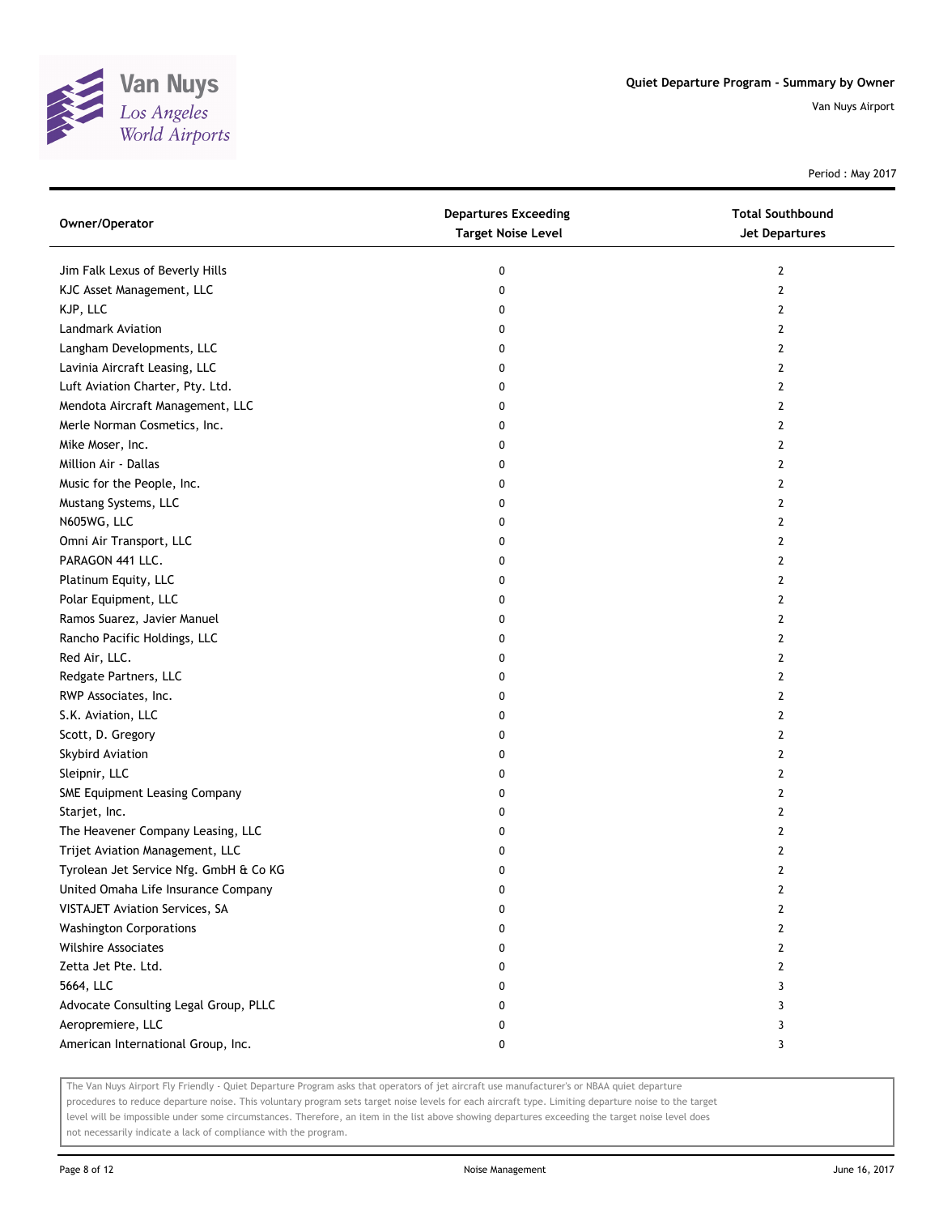

Period : May 2017

| Owner/Operator                         | <b>Departures Exceeding</b><br><b>Target Noise Level</b> | <b>Total Southbound</b><br><b>Jet Departures</b> |
|----------------------------------------|----------------------------------------------------------|--------------------------------------------------|
| Jim Falk Lexus of Beverly Hills        | 0                                                        | 2                                                |
| KJC Asset Management, LLC              | 0                                                        | 2                                                |
| KJP, LLC                               | 0                                                        | 2                                                |
| Landmark Aviation                      | 0                                                        | 2                                                |
| Langham Developments, LLC              | 0                                                        | 2                                                |
| Lavinia Aircraft Leasing, LLC          | 0                                                        | 2                                                |
| Luft Aviation Charter, Pty. Ltd.       | 0                                                        | 2                                                |
| Mendota Aircraft Management, LLC       | 0                                                        | 2                                                |
| Merle Norman Cosmetics, Inc.           | 0                                                        | 2                                                |
| Mike Moser, Inc.                       | 0                                                        | 2                                                |
| Million Air - Dallas                   | 0                                                        | $\overline{2}$                                   |
| Music for the People, Inc.             | 0                                                        | 2                                                |
| Mustang Systems, LLC                   | 0                                                        | 2                                                |
| N605WG, LLC                            | 0                                                        | 2                                                |
| Omni Air Transport, LLC                | 0                                                        | 2                                                |
| PARAGON 441 LLC.                       | 0                                                        | 2                                                |
| Platinum Equity, LLC                   | 0                                                        | 2                                                |
| Polar Equipment, LLC                   | 0                                                        | 2                                                |
| Ramos Suarez, Javier Manuel            | 0                                                        | 2                                                |
| Rancho Pacific Holdings, LLC           | 0                                                        | 2                                                |
| Red Air, LLC.                          | 0                                                        | 2                                                |
| Redgate Partners, LLC                  | 0                                                        | 2                                                |
| RWP Associates, Inc.                   | 0                                                        | 2                                                |
| S.K. Aviation, LLC                     | 0                                                        | 2                                                |
| Scott, D. Gregory                      | 0                                                        | 2                                                |
| Skybird Aviation                       | 0                                                        | 2                                                |
| Sleipnir, LLC                          | 0                                                        | 2                                                |
| SME Equipment Leasing Company          | 0                                                        | 2                                                |
| Starjet, Inc.                          | 0                                                        | 2                                                |
| The Heavener Company Leasing, LLC      | 0                                                        | 2                                                |
| Trijet Aviation Management, LLC        | 0                                                        | 2                                                |
| Tyrolean Jet Service Nfg. GmbH & Co KG | 0                                                        | 2                                                |
| United Omaha Life Insurance Company    | U                                                        | $\mathbf{z}$                                     |
| VISTAJET Aviation Services, SA         | 0                                                        | 2                                                |
| <b>Washington Corporations</b>         | 0                                                        | 2                                                |
| Wilshire Associates                    | 0                                                        | 2                                                |
| Zetta Jet Pte. Ltd.                    | 0                                                        | 2                                                |
| 5664, LLC                              | 0                                                        | 3                                                |
| Advocate Consulting Legal Group, PLLC  | 0                                                        | 3                                                |
| Aeropremiere, LLC                      | 0                                                        | 3                                                |
| American International Group, Inc.     | 0                                                        | 3                                                |

The Van Nuys Airport Fly Friendly - Quiet Departure Program asks that operators of jet aircraft use manufacturer's or NBAA quiet departure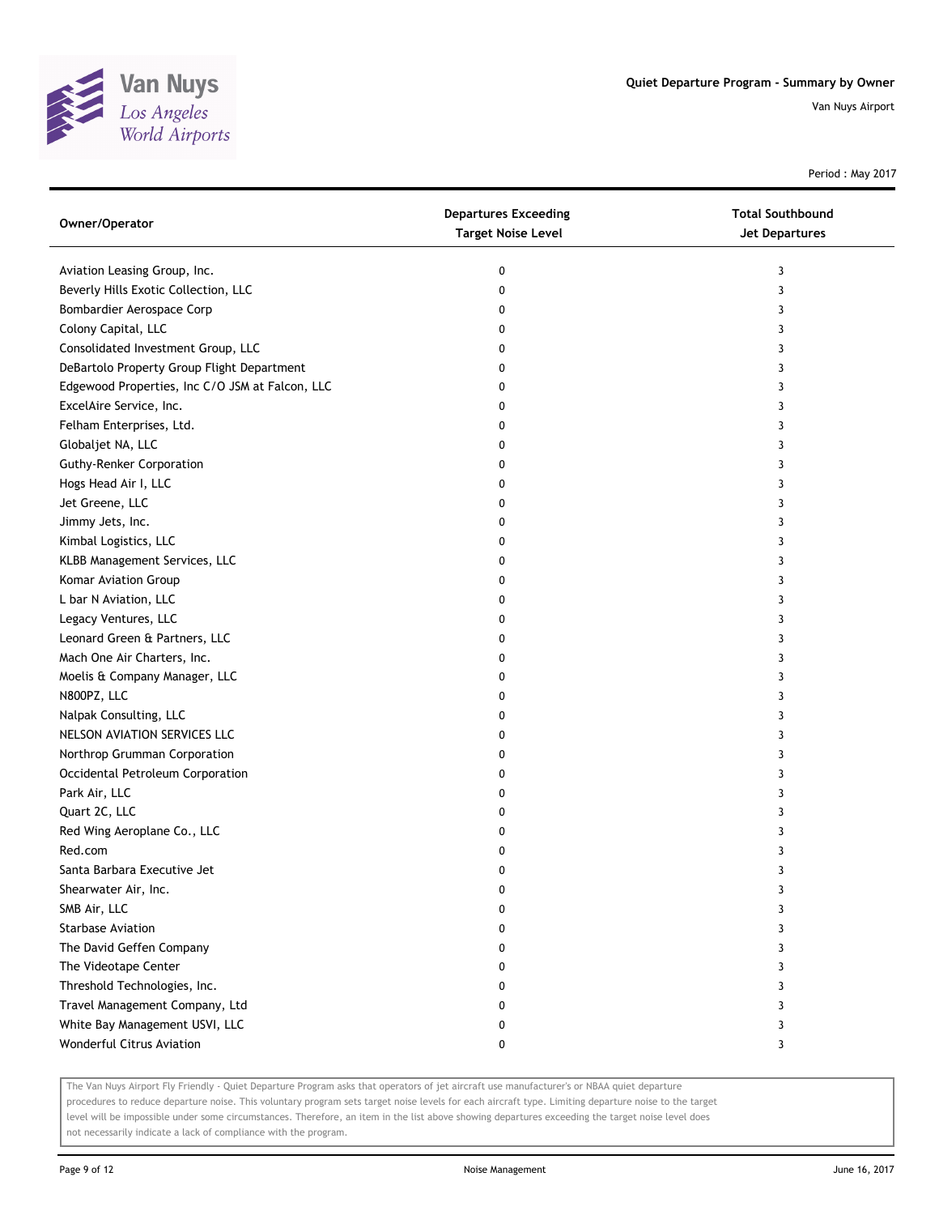

Period : May 2017

| Owner/Operator                                  | <b>Departures Exceeding</b><br><b>Target Noise Level</b> | <b>Total Southbound</b><br><b>Jet Departures</b> |
|-------------------------------------------------|----------------------------------------------------------|--------------------------------------------------|
| Aviation Leasing Group, Inc.                    | 0                                                        | 3                                                |
| Beverly Hills Exotic Collection, LLC            | 0                                                        | 3                                                |
| Bombardier Aerospace Corp                       | 0                                                        | 3                                                |
| Colony Capital, LLC                             | 0                                                        | 3                                                |
| Consolidated Investment Group, LLC              | 0                                                        | 3                                                |
| DeBartolo Property Group Flight Department      | 0                                                        | 3                                                |
| Edgewood Properties, Inc C/O JSM at Falcon, LLC | 0                                                        | 3                                                |
| ExcelAire Service, Inc.                         | 0                                                        | 3                                                |
| Felham Enterprises, Ltd.                        | 0                                                        | 3                                                |
| Globaljet NA, LLC                               | 0                                                        | 3                                                |
| <b>Guthy-Renker Corporation</b>                 | 0                                                        | 3                                                |
| Hogs Head Air I, LLC                            | 0                                                        | 3                                                |
| Jet Greene, LLC                                 | 0                                                        | 3                                                |
| Jimmy Jets, Inc.                                | 0                                                        | 3                                                |
| Kimbal Logistics, LLC                           | 0                                                        | 3                                                |
| KLBB Management Services, LLC                   | 0                                                        | 3                                                |
| Komar Aviation Group                            | 0                                                        | 3                                                |
| L bar N Aviation, LLC                           | 0                                                        | 3                                                |
| Legacy Ventures, LLC                            | 0                                                        | 3                                                |
| Leonard Green & Partners, LLC                   | 0                                                        | 3                                                |
| Mach One Air Charters, Inc.                     | 0                                                        | 3                                                |
| Moelis & Company Manager, LLC                   | 0                                                        | 3                                                |
| N800PZ, LLC                                     | 0                                                        | 3                                                |
| Nalpak Consulting, LLC                          | 0                                                        | 3                                                |
| NELSON AVIATION SERVICES LLC                    | 0                                                        | 3                                                |
| Northrop Grumman Corporation                    | 0                                                        | 3                                                |
| Occidental Petroleum Corporation                | 0                                                        | 3                                                |
| Park Air, LLC                                   | 0                                                        | 3                                                |
| Quart 2C, LLC                                   | 0                                                        | 3                                                |
| Red Wing Aeroplane Co., LLC                     | 0                                                        | 3                                                |
| Red.com                                         | 0                                                        | 3                                                |
| Santa Barbara Executive Jet                     | 0                                                        | 3                                                |
| Shearwater Air, Inc.                            |                                                          |                                                  |
| SMB Air, LLC                                    | 0                                                        | 3                                                |
| <b>Starbase Aviation</b>                        | 0                                                        | 3                                                |
| The David Geffen Company                        | 0                                                        | 3                                                |
| The Videotape Center                            | 0                                                        | 3                                                |
| Threshold Technologies, Inc.                    | 0                                                        | 3                                                |
| Travel Management Company, Ltd                  | 0                                                        | 3                                                |
| White Bay Management USVI, LLC                  | 0                                                        | 3                                                |
| Wonderful Citrus Aviation                       | 0                                                        | 3                                                |

The Van Nuys Airport Fly Friendly - Quiet Departure Program asks that operators of jet aircraft use manufacturer's or NBAA quiet departure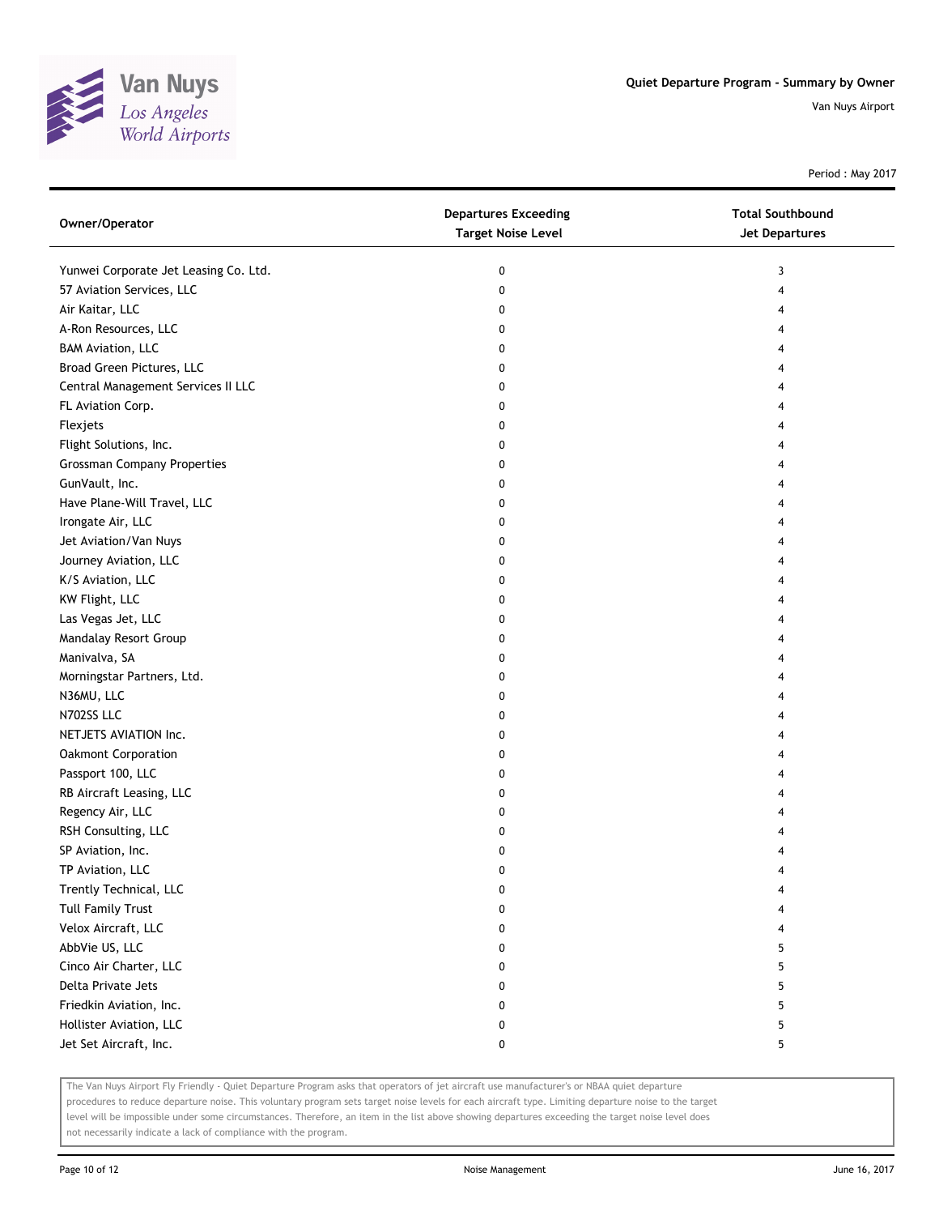

Period : May 2017

| Owner/Operator                        | <b>Departures Exceeding</b><br><b>Target Noise Level</b> | <b>Total Southbound</b><br><b>Jet Departures</b> |
|---------------------------------------|----------------------------------------------------------|--------------------------------------------------|
| Yunwei Corporate Jet Leasing Co. Ltd. | 0                                                        | 3                                                |
| 57 Aviation Services, LLC             | 0                                                        | 4                                                |
| Air Kaitar, LLC                       | 0                                                        | 4                                                |
| A-Ron Resources, LLC                  | 0                                                        | 4                                                |
| <b>BAM Aviation, LLC</b>              | 0                                                        | 4                                                |
| Broad Green Pictures, LLC             | 0                                                        | 4                                                |
| Central Management Services II LLC    | 0                                                        | 4                                                |
| FL Aviation Corp.                     | 0                                                        | 4                                                |
| Flexjets                              | 0                                                        | 4                                                |
| Flight Solutions, Inc.                | 0                                                        | 4                                                |
| <b>Grossman Company Properties</b>    | 0                                                        |                                                  |
| GunVault, Inc.                        | 0                                                        | 4                                                |
| Have Plane-Will Travel, LLC           | 0                                                        |                                                  |
| Irongate Air, LLC                     | 0                                                        |                                                  |
| Jet Aviation/Van Nuys                 | 0                                                        | 4                                                |
| Journey Aviation, LLC                 | 0                                                        | 4                                                |
| K/S Aviation, LLC                     | 0                                                        | 4                                                |
| KW Flight, LLC                        | 0                                                        | 4                                                |
| Las Vegas Jet, LLC                    | 0                                                        | 4                                                |
| Mandalay Resort Group                 | 0                                                        | 4                                                |
| Manivalva, SA                         | 0                                                        | 4                                                |
| Morningstar Partners, Ltd.            | 0                                                        | 4                                                |
| N36MU, LLC                            | 0                                                        | 4                                                |
| N702SS LLC                            | 0                                                        | 4                                                |
| NETJETS AVIATION Inc.                 | 0                                                        | 4                                                |
| Oakmont Corporation                   | 0                                                        | 4                                                |
| Passport 100, LLC                     | 0                                                        | 4                                                |
| RB Aircraft Leasing, LLC              | 0                                                        | 4                                                |
| Regency Air, LLC                      | 0                                                        | 4                                                |
| RSH Consulting, LLC                   | 0                                                        |                                                  |
| SP Aviation, Inc.                     | 0                                                        |                                                  |
| TP Aviation, LLC                      | 0                                                        | 4                                                |
| Trently Technical, LLC                | 0                                                        |                                                  |
| <b>Tull Family Trust</b>              | 0                                                        |                                                  |
| Velox Aircraft, LLC                   | 0                                                        |                                                  |
| AbbVie US, LLC                        | 0                                                        | 5                                                |
| Cinco Air Charter, LLC                | 0                                                        | 5                                                |
| Delta Private Jets                    | 0                                                        | 5                                                |
| Friedkin Aviation, Inc.               | 0                                                        | 5                                                |
| Hollister Aviation, LLC               | 0                                                        | 5                                                |
| Jet Set Aircraft, Inc.                | 0                                                        | 5                                                |

The Van Nuys Airport Fly Friendly - Quiet Departure Program asks that operators of jet aircraft use manufacturer's or NBAA quiet departure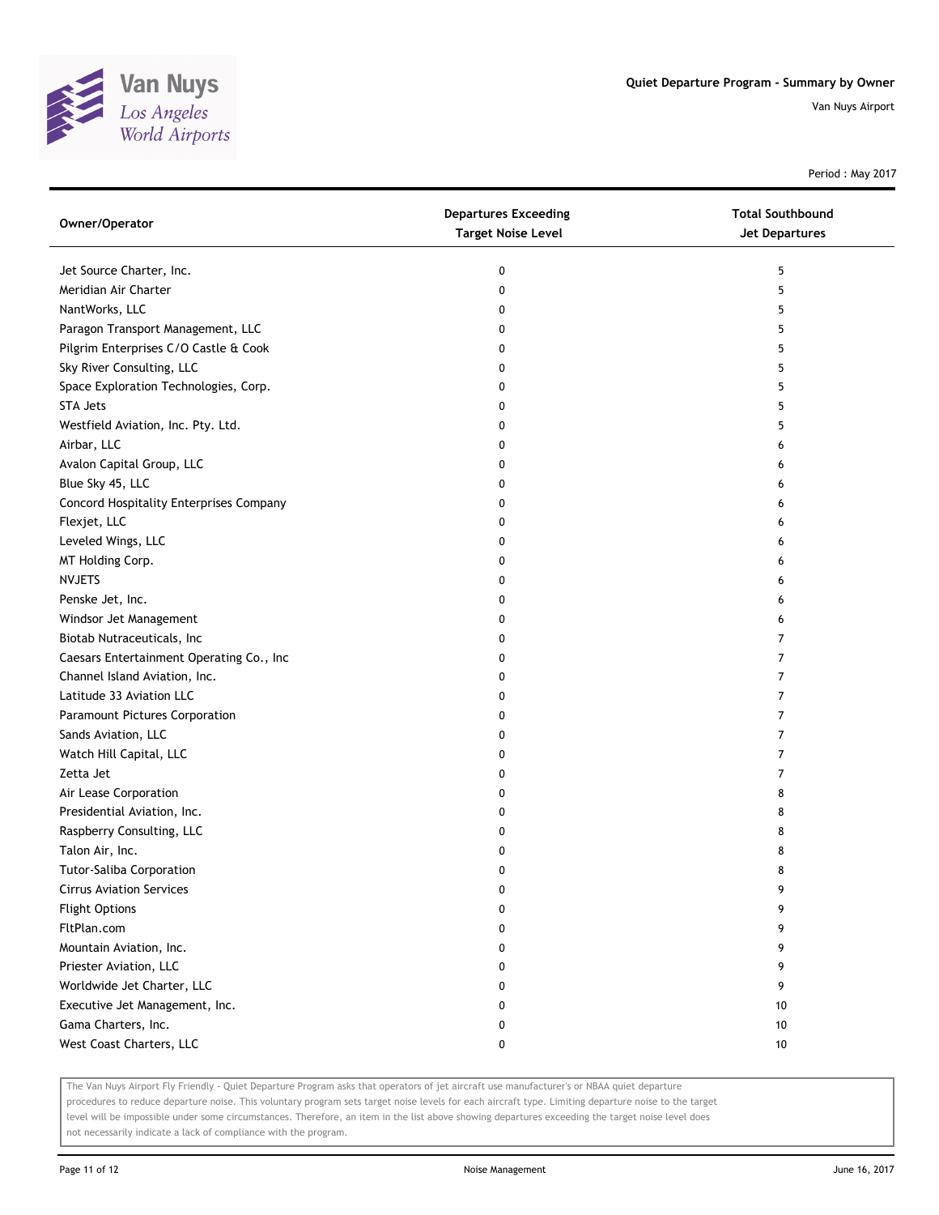

Period : May 2017

| Owner/Operator                           | <b>Departures Exceeding</b><br><b>Target Noise Level</b> | <b>Total Southbound</b><br><b>Jet Departures</b> |
|------------------------------------------|----------------------------------------------------------|--------------------------------------------------|
| Jet Source Charter, Inc.                 | 0                                                        | 5                                                |
| Meridian Air Charter                     | 0                                                        | 5                                                |
| NantWorks, LLC                           | 0                                                        | 5                                                |
| Paragon Transport Management, LLC        | 0                                                        | 5                                                |
| Pilgrim Enterprises C/O Castle & Cook    | 0                                                        | 5                                                |
| Sky River Consulting, LLC                | 0                                                        | 5                                                |
| Space Exploration Technologies, Corp.    | 0                                                        | 5                                                |
| <b>STA Jets</b>                          | 0                                                        | 5                                                |
| Westfield Aviation, Inc. Pty. Ltd.       | 0                                                        | 5                                                |
| Airbar, LLC                              | 0                                                        | 6                                                |
| Avalon Capital Group, LLC                | 0                                                        | 6                                                |
| Blue Sky 45, LLC                         | 0                                                        | 6                                                |
| Concord Hospitality Enterprises Company  | 0                                                        | 6                                                |
| Flexjet, LLC                             | 0                                                        | 6                                                |
| Leveled Wings, LLC                       | 0                                                        | 6                                                |
| MT Holding Corp.                         | 0                                                        | 6                                                |
| <b>NVJETS</b>                            | 0                                                        | 6                                                |
| Penske Jet, Inc.                         | 0                                                        | 6                                                |
| Windsor Jet Management                   | 0                                                        | 6                                                |
| Biotab Nutraceuticals, Inc               | 0                                                        | 7                                                |
| Caesars Entertainment Operating Co., Inc | 0                                                        | 7                                                |
| Channel Island Aviation, Inc.            | 0                                                        | $\overline{7}$                                   |
| Latitude 33 Aviation LLC                 | 0                                                        | 7                                                |
| Paramount Pictures Corporation           | 0                                                        | 7                                                |
| Sands Aviation, LLC                      | 0                                                        | 7                                                |
| Watch Hill Capital, LLC                  | 0                                                        | 7                                                |
| Zetta Jet                                | 0                                                        | 7                                                |
| Air Lease Corporation                    | 0                                                        | 8                                                |
| Presidential Aviation, Inc.              | 0                                                        | 8                                                |
| Raspberry Consulting, LLC                | 0                                                        | 8                                                |
| Talon Air, Inc.                          | 0                                                        | 8                                                |
| <b>Tutor-Saliba Corporation</b>          | 0                                                        | 8                                                |
| <b>Cirrus Aviation Services</b>          | 0                                                        |                                                  |
| <b>Flight Options</b>                    | 0                                                        | 9                                                |
| FltPlan.com                              | 0                                                        | 9                                                |
| Mountain Aviation, Inc.                  | 0                                                        | 9                                                |
| Priester Aviation, LLC                   | 0                                                        | 9                                                |
| Worldwide Jet Charter, LLC               | 0                                                        | 9                                                |
| Executive Jet Management, Inc.           | 0                                                        | 10                                               |
| Gama Charters, Inc.                      | 0                                                        | 10                                               |
| West Coast Charters, LLC                 | 0                                                        | 10                                               |

The Van Nuys Airport Fly Friendly - Quiet Departure Program asks that operators of jet aircraft use manufacturer's or NBAA quiet departure